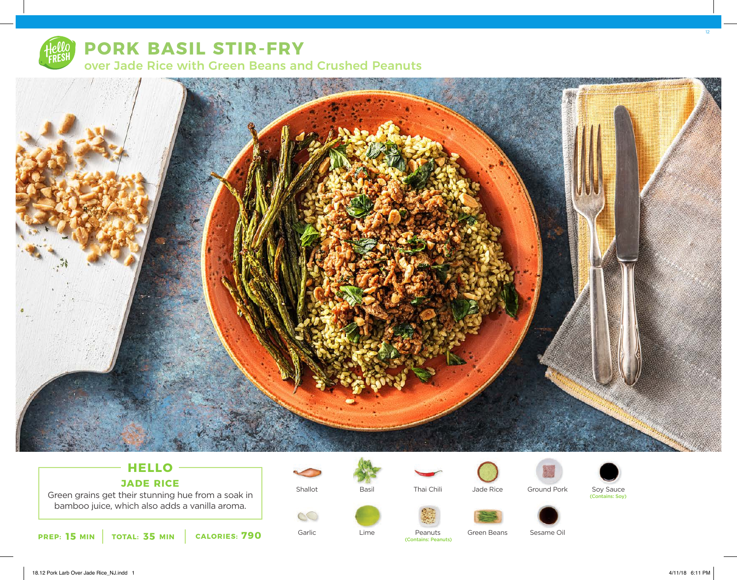

## **PORK BASIL STIR-FRY**





### **HELLO JADE RICE**

Green grains get their stunning hue from a soak in bamboo juice, which also adds a vanilla aroma.



Shallot

Garlic

 $\circledcirc$ 



Thai Chili



Green Beans



Soy Sauce (Contains: Soy)



Peanuts (Contains: Peanuts)

Sesame Oil

12